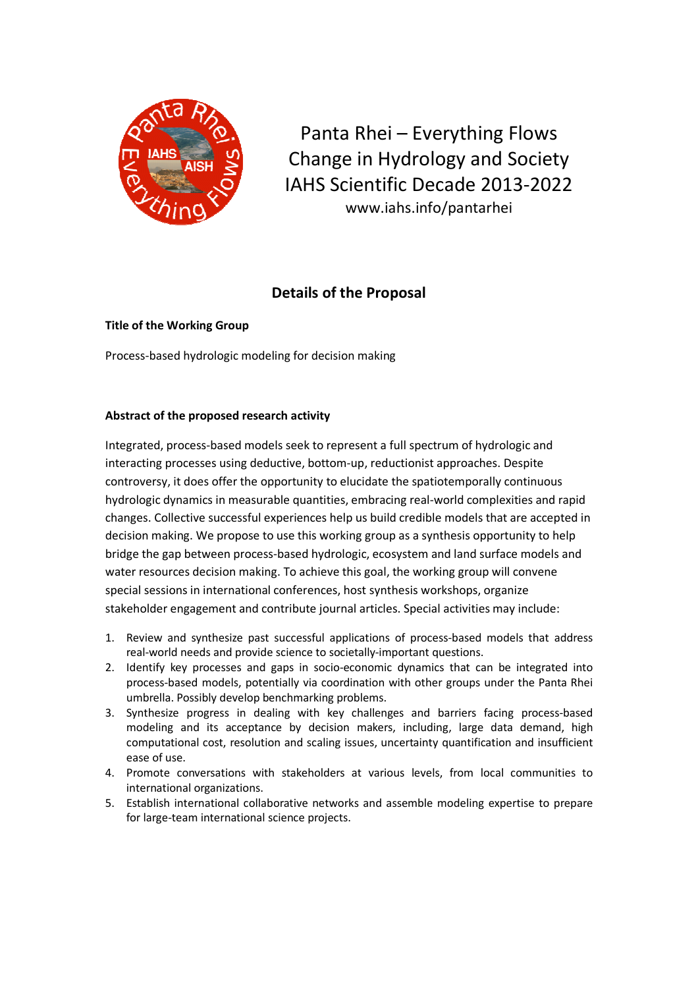

Panta Rhei - Everything Flows Change in Hydrology and Society IAHS Scientific Decade 2013-2022 www.iahs.info/pantarhei

# **Details of the Proposal**

**Title of the Working Group** 

Process-based hydrologic modeling for decision making

## Abstract of the proposed research activity

Integrated, process-based models seek to represent a full spectrum of hydrologic and interacting processes using deductive, bottom-up, reductionist approaches. Despite controversy, it does offer the opportunity to elucidate the spatiotemporally continuous hydrologic dynamics in measurable quantities, embracing real-world complexities and rapid changes. Collective successful experiences help us build credible models that are accepted in decision making. We propose to use this working group as a synthesis opportunity to help bridge the gap between process-based hydrologic, ecosystem and land surface models and water resources decision making. To achieve this goal, the working group will convene special sessions in international conferences, host synthesis workshops, organize stakeholder engagement and contribute journal articles. Special activities may include:

- 1. Review and synthesize past successful applications of process-based models that address real-world needs and provide science to societally-important questions.
- 2. Identify key processes and gaps in socio-economic dynamics that can be integrated into process-based models, potentially via coordination with other groups under the Panta Rhei umbrella. Possibly develop benchmarking problems.
- 3. Synthesize progress in dealing with key challenges and barriers facing process-based modeling and its acceptance by decision makers, including, large data demand, high computational cost, resolution and scaling issues, uncertainty quantification and insufficient ease of use.
- 4. Promote conversations with stakeholders at various levels, from local communities to international organizations.
- 5. Establish international collaborative networks and assemble modeling expertise to prepare for large-team international science projects.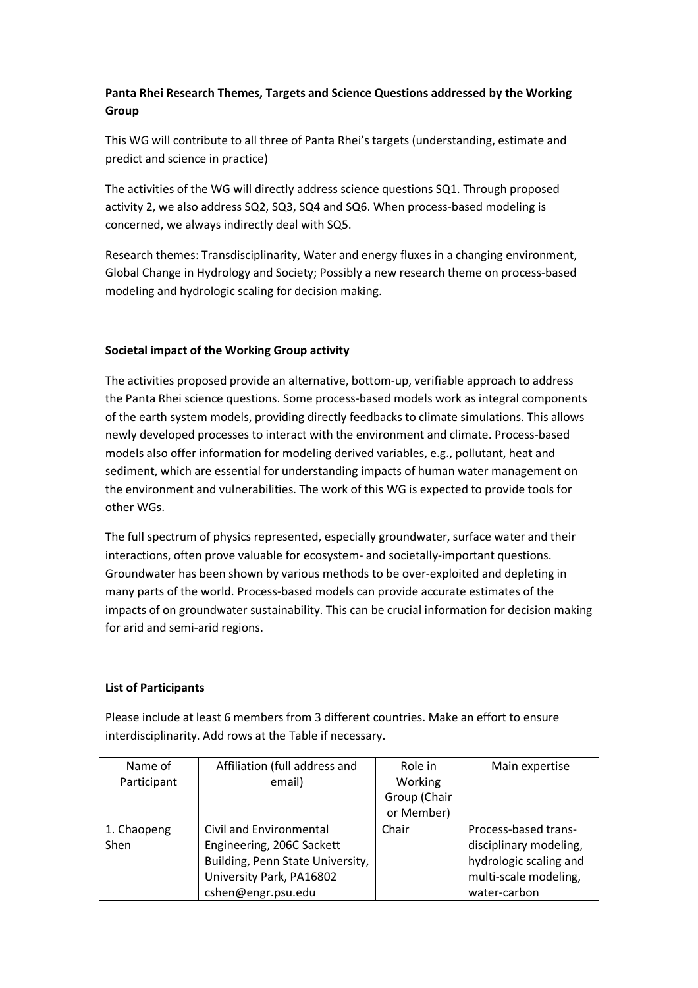## Panta Rhei Research Themes, Targets and Science Questions addressed by the Working Group

This WG will contribute to all three of Panta Rhei's targets (understanding, estimate and predict and science in practice)

The activities of the WG will directly address science questions SQ1. Through proposed activity 2, we also address SQ2, SQ3, SQ4 and SQ6. When process-based modeling is concerned, we always indirectly deal with SQ5.

Research themes: Transdisciplinarity, Water and energy fluxes in a changing environment, Global Change in Hydrology and Society; Possibly a new research theme on process-based modeling and hydrologic scaling for decision making.

## Societal impact of the Working Group activity

The activities proposed provide an alternative, bottom-up, verifiable approach to address the Panta Rhei science questions. Some process-based models work as integral components of the earth system models, providing directly feedbacks to climate simulations. This allows newly developed processes to interact with the environment and climate. Process-based models also offer information for modeling derived variables, e.g., pollutant, heat and sediment, which are essential for understanding impacts of human water management on the environment and vulnerabilities. The work of this WG is expected to provide tools for other WGs.

The full spectrum of physics represented, especially groundwater, surface water and their interactions, often prove valuable for ecosystem- and societally-important questions. Groundwater has been shown by various methods to be over-exploited and depleting in many parts of the world. Process-based models can provide accurate estimates of the impacts of on groundwater sustainability. This can be crucial information for decision making for arid and semi-arid regions.

## **List of Participants**

Please include at least 6 members from 3 different countries. Make an effort to ensure interdisciplinarity. Add rows at the Table if necessary.

| Name of     | Affiliation (full address and    | Role in      | Main expertise         |
|-------------|----------------------------------|--------------|------------------------|
| Participant | email)                           | Working      |                        |
|             |                                  | Group (Chair |                        |
|             |                                  | or Member)   |                        |
| 1. Chaopeng | Civil and Environmental          | Chair        | Process-based trans-   |
| <b>Shen</b> | Engineering, 206C Sackett        |              | disciplinary modeling, |
|             | Building, Penn State University, |              | hydrologic scaling and |
|             | University Park, PA16802         |              | multi-scale modeling,  |
|             | cshen@engr.psu.edu               |              | water-carbon           |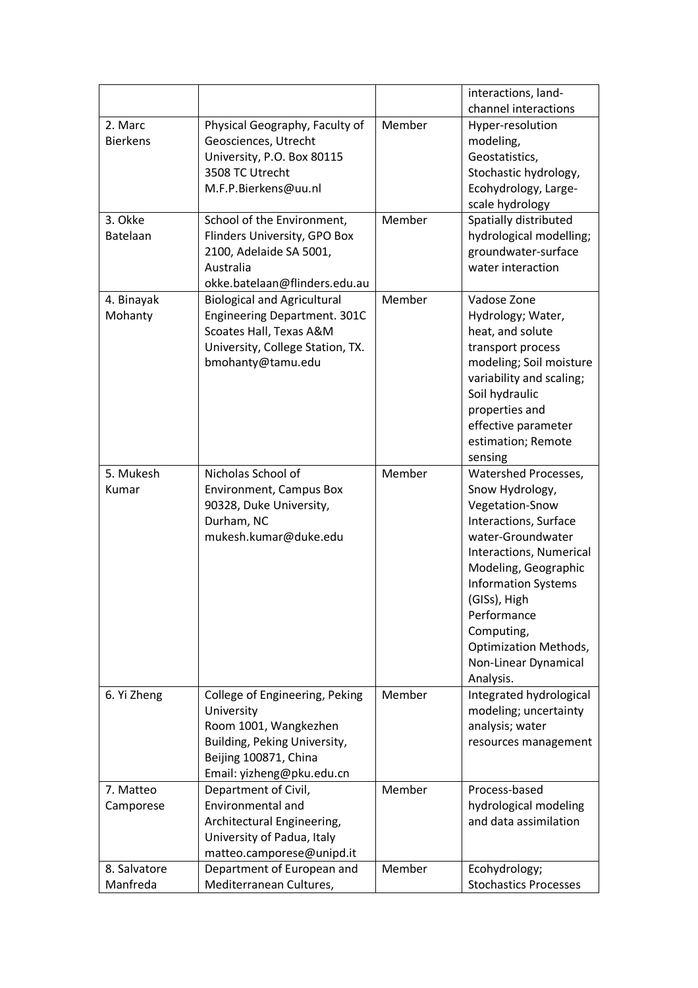|                 |                                                         |        | interactions, land-          |
|-----------------|---------------------------------------------------------|--------|------------------------------|
|                 |                                                         |        | channel interactions         |
| 2. Marc         | Physical Geography, Faculty of                          | Member | Hyper-resolution             |
| <b>Bierkens</b> | Geosciences, Utrecht                                    |        | modeling,                    |
|                 | University, P.O. Box 80115                              |        | Geostatistics,               |
|                 | 3508 TC Utrecht                                         |        | Stochastic hydrology,        |
|                 | M.F.P.Bierkens@uu.nl                                    |        | Ecohydrology, Large-         |
|                 |                                                         |        | scale hydrology              |
| 3. Okke         | School of the Environment,                              | Member | Spatially distributed        |
| Batelaan        | Flinders University, GPO Box                            |        | hydrological modelling;      |
|                 | 2100, Adelaide SA 5001,                                 |        | groundwater-surface          |
|                 | Australia                                               |        | water interaction            |
|                 | okke.batelaan@flinders.edu.au                           |        |                              |
| 4. Binayak      | <b>Biological and Agricultural</b>                      | Member | Vadose Zone                  |
| Mohanty         | Engineering Department. 301C                            |        | Hydrology; Water,            |
|                 | Scoates Hall, Texas A&M                                 |        | heat, and solute             |
|                 | University, College Station, TX.                        |        | transport process            |
|                 | bmohanty@tamu.edu                                       |        | modeling; Soil moisture      |
|                 |                                                         |        | variability and scaling;     |
|                 |                                                         |        | Soil hydraulic               |
|                 |                                                         |        | properties and               |
|                 |                                                         |        | effective parameter          |
|                 |                                                         |        | estimation; Remote           |
|                 |                                                         |        | sensing                      |
| 5. Mukesh       | Nicholas School of                                      | Member | Watershed Processes,         |
| Kumar           | Environment, Campus Box                                 |        | Snow Hydrology,              |
|                 | 90328, Duke University,                                 |        | Vegetation-Snow              |
|                 | Durham, NC                                              |        | Interactions, Surface        |
|                 | mukesh.kumar@duke.edu                                   |        | water-Groundwater            |
|                 |                                                         |        | Interactions, Numerical      |
|                 |                                                         |        | Modeling, Geographic         |
|                 |                                                         |        | <b>Information Systems</b>   |
|                 |                                                         |        | (GISs), High                 |
|                 |                                                         |        | Performance                  |
|                 |                                                         |        | Computing,                   |
|                 |                                                         |        | <b>Optimization Methods,</b> |
|                 |                                                         |        | Non-Linear Dynamical         |
|                 |                                                         |        | Analysis.                    |
| 6. Yi Zheng     | College of Engineering, Peking                          | Member | Integrated hydrological      |
|                 | University                                              |        | modeling; uncertainty        |
|                 | Room 1001, Wangkezhen                                   |        | analysis; water              |
|                 | Building, Peking University,                            |        |                              |
|                 | Beijing 100871, China                                   |        | resources management         |
|                 | Email: yizheng@pku.edu.cn                               |        |                              |
| 7. Matteo       | Department of Civil,                                    | Member | Process-based                |
| Camporese       | <b>Environmental and</b>                                |        | hydrological modeling        |
|                 | Architectural Engineering,                              |        | and data assimilation        |
|                 | University of Padua, Italy                              |        |                              |
|                 |                                                         |        |                              |
| 8. Salvatore    | matteo.camporese@unipd.it<br>Department of European and | Member | Ecohydrology;                |
| Manfreda        | Mediterranean Cultures,                                 |        | <b>Stochastics Processes</b> |
|                 |                                                         |        |                              |